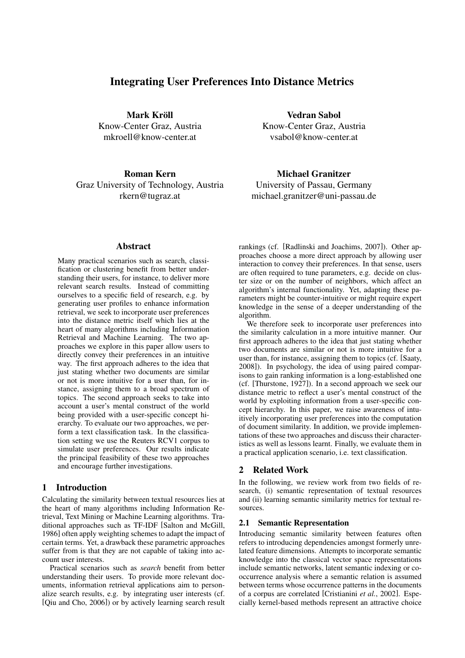# Integrating User Preferences Into Distance Metrics

Mark Kröll Know-Center Graz, Austria mkroell@know-center.at

Roman Kern Graz University of Technology, Austria rkern@tugraz.at

Vedran Sabol Know-Center Graz, Austria vsabol@know-center.at

Michael Granitzer University of Passau, Germany michael.granitzer@uni-passau.de

### Abstract

Many practical scenarios such as search, classification or clustering benefit from better understanding their users, for instance, to deliver more relevant search results. Instead of committing ourselves to a specific field of research, e.g. by generating user profiles to enhance information retrieval, we seek to incorporate user preferences into the distance metric itself which lies at the heart of many algorithms including Information Retrieval and Machine Learning. The two approaches we explore in this paper allow users to directly convey their preferences in an intuitive way. The first approach adheres to the idea that just stating whether two documents are similar or not is more intuitive for a user than, for instance, assigning them to a broad spectrum of topics. The second approach seeks to take into account a user's mental construct of the world being provided with a user-specific concept hierarchy. To evaluate our two approaches, we perform a text classification task. In the classification setting we use the Reuters RCV1 corpus to simulate user preferences. Our results indicate the principal feasibility of these two approaches and encourage further investigations.

### 1 Introduction

Calculating the similarity between textual resources lies at the heart of many algorithms including Information Retrieval, Text Mining or Machine Learning algorithms. Traditional approaches such as TF-IDF [Salton and McGill, 1986] often apply weighting schemes to adapt the impact of certain terms. Yet, a drawback these parametric approaches suffer from is that they are not capable of taking into account user interests.

Practical scenarios such as *search* benefit from better understanding their users. To provide more relevant documents, information retrieval applications aim to personalize search results, e.g. by integrating user interests (cf. [Qiu and Cho, 2006]) or by actively learning search result rankings (cf. [Radlinski and Joachims, 2007]). Other approaches choose a more direct approach by allowing user interaction to convey their preferences. In that sense, users are often required to tune parameters, e.g. decide on cluster size or on the number of neighbors, which affect an algorithm's internal functionality. Yet, adapting these parameters might be counter-intuitive or might require expert knowledge in the sense of a deeper understanding of the algorithm.

We therefore seek to incorporate user preferences into the similarity calculation in a more intuitive manner. Our first approach adheres to the idea that just stating whether two documents are similar or not is more intuitive for a user than, for instance, assigning them to topics (cf. [Saaty, 2008]). In psychology, the idea of using paired comparisons to gain ranking information is a long-established one (cf. [Thurstone, 1927]). In a second approach we seek our distance metric to reflect a user's mental construct of the world by exploiting information from a user-specific concept hierarchy. In this paper, we raise awareness of intuitively incorporating user preferences into the computation of document similarity. In addition, we provide implementations of these two approaches and discuss their characteristics as well as lessons learnt. Finally, we evaluate them in a practical application scenario, i.e. text classification.

#### 2 Related Work

In the following, we review work from two fields of research, (i) semantic representation of textual resources and (ii) learning semantic similarity metrics for textual resources.

#### 2.1 Semantic Representation

Introducing semantic similarity between features often refers to introducing dependencies amongst formerly unrelated feature dimensions. Attempts to incorporate semantic knowledge into the classical vector space representations include semantic networks, latent semantic indexing or cooccurrence analysis where a semantic relation is assumed between terms whose occurrence patterns in the documents of a corpus are correlated [Cristianini *et al.*, 2002]. Especially kernel-based methods represent an attractive choice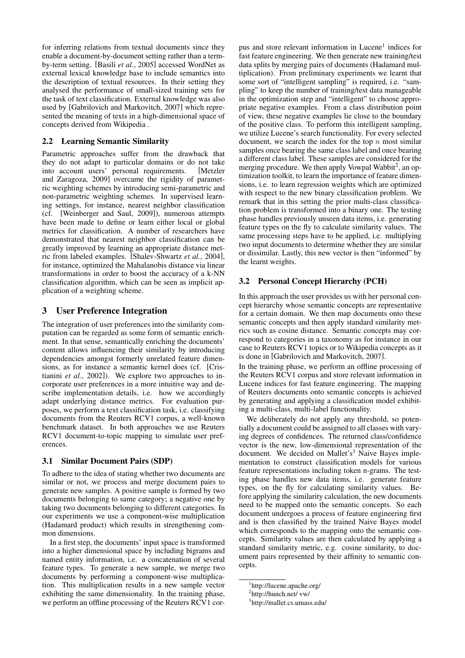for inferring relations from textual documents since they enable a document-by-document setting rather than a termby-term setting. [Basili *et al.*, 2005] accessed WordNet as external lexical knowledge base to include semantics into the description of textual resources. In their setting they analysed the performance of small-sized training sets for the task of text classification. External knowledge was also used by [Gabrilovich and Markovitch, 2007] which represented the meaning of texts in a high-dimensional space of concepts derived from Wikipedia .

### 2.2 Learning Semantic Similarity

Parametric approaches suffer from the drawback that they do not adapt to particular domains or do not take into account users' personal requirements. [Metzler and Zaragoza, 2009] overcame the rigidity of parametric weighting schemes by introducing semi-parametric and non-parametric weighting schemes. In supervised learning settings, for instance, nearest neighbor classification (cf. [Weinberger and Saul, 2009]), numerous attempts have been made to define or learn either local or global metrics for classification. A number of researchers have demonstrated that nearest neighbor classification can be greatly improved by learning an appropriate distance metric from labeled examples. [Shalev-Shwartz *et al.*, 2004], for instance, optimized the Mahalanobis distance via linear transformations in order to boost the accuracy of a k-NN classification algorithm, which can be seen as implicit application of a weighting scheme.

## 3 User Preference Integration

The integration of user preferences into the similarity computation can be regarded as some form of semantic enrichment. In that sense, semantically enriching the documents' content allows influencing their similarity by introducing dependencies amongst formerly unrelated feature dimensions, as for instance a semantic kernel does (cf. [Cristianini *et al.*, 2002]). We explore two approaches to incorporate user preferences in a more intuitive way and describe implementation details, i.e. how we accordingly adapt underlying distance metrics. For evaluation purposes, we perform a text classification task, i.e. classifying documents from the Reuters RCV1 corpus, a well-known benchmark dataset. In both approaches we use Reuters RCV1 document-to-topic mapping to simulate user preferences.

### 3.1 Similar Document Pairs (SDP)

To adhere to the idea of stating whether two documents are similar or not, we process and merge document pairs to generate new samples. A positive sample is formed by two documents belonging to same category; a negative one by taking two documents belonging to different categories. In our experiments we use a component-wise multiplication (Hadamard product) which results in strengthening common dimensions.

In a first step, the documents' input space is transformed into a higher dimensional space by including bigrams and named entity information, i.e. a concatenation of several feature types. To generate a new sample, we merge two documents by performing a component-wise multiplication. This multiplication results in a new sample vector exhibiting the same dimensionality. In the training phase, we perform an offline processing of the Reuters RCV1 cor-

pus and store relevant information in Lucene<sup>1</sup> indices for fast feature engineering. We then generate new training/test data splits by merging pairs of documents (Hadamard multiplication). From preliminary experiments we learnt that some sort of "intelligent sampling" is required, i.e. "sampling" to keep the number of training/test data manageable in the optimization step and "intelligent" to choose appropriate negative examples. From a class distribution point of view, these negative examples lie close to the boundary of the positive class. To perform this intelligent sampling, we utilize Lucene's search functionality. For every selected document, we search the index for the top  $n$  most similar samples once bearing the same class label and once bearing a different class label. These samples are considered for the merging procedure. We then apply Vowpal Wabbit<sup>2</sup>, an optimization toolkit, to learn the importance of feature dimensions, i.e. to learn regression weights which are optimized with respect to the new binary classification problem. We remark that in this setting the prior multi-class classification problem is transformed into a binary one. The testing phase handles previously unseen data items, i.e. generating feature types on the fly to calculate similarity values. The same processing steps have to be applied, i.e. multiplying two input documents to determine whether they are similar or dissimilar. Lastly, this new vector is then "informed" by the learnt weights.

## 3.2 Personal Concept Hierarchy (PCH)

In this approach the user provides us with her personal concept hierarchy whose semantic concepts are representative for a certain domain. We then map documents onto these semantic concepts and then apply standard similarity metrics such as cosine distance. Semantic concepts may correspond to categories in a taxonomy as for instance in our case to Reuters RCV1 topics or to Wikipedia concepts as it is done in [Gabrilovich and Markovitch, 2007].

In the training phase, we perform an offline processing of the Reuters RCV1 corpus and store relevant information in Lucene indices for fast feature engineering. The mapping of Reuters documents onto semantic concepts is achieved by generating and applying a classification model exhibiting a multi-class, multi-label functionality.

We deliberately do not apply any threshold, so potentially a document could be assigned to all classes with varying degrees of confidences. The returned class/confidence vector is the new, low-dimensional representation of the document. We decided on Mallet's<sup>3</sup> Naive Bayes implementation to construct classification models for various feature representations including token n-grams. The testing phase handles new data items, i.e. generate feature types, on the fly for calculating similarity values. Before applying the similarity calculation, the new documents need to be mapped onto the semantic concepts. So each document undergoes a process of feature engineering first and is then classified by the trained Naive Bayes model which corresponds to the mapping onto the semantic concepts. Similarity values are then calculated by applying a standard similarity metric, e.g. cosine similarity, to document pairs represented by their affinity to semantic concepts.

<sup>1</sup> http://lucene.apache.org/

<sup>&</sup>lt;sup>2</sup>http://hunch.net/ vw/

<sup>3</sup> http://mallet.cs.umass.edu/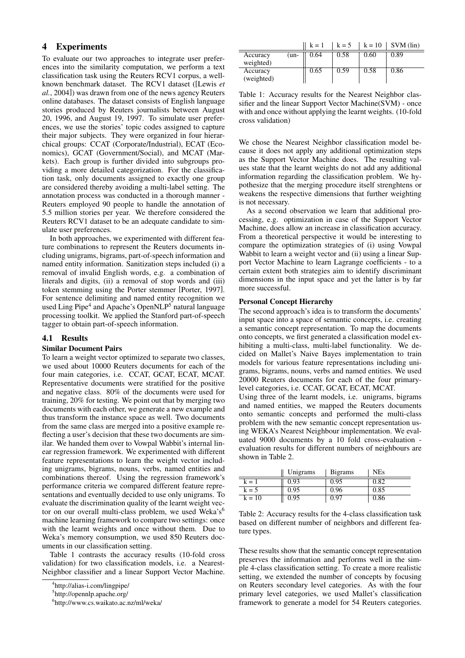# 4 Experiments

To evaluate our two approaches to integrate user preferences into the similarity computation, we perform a text classification task using the Reuters RCV1 corpus, a wellknown benchmark dataset. The RCV1 dataset ([Lewis *et al.*, 2004]) was drawn from one of the news agency Reuters online databases. The dataset consists of English language stories produced by Reuters journalists between August 20, 1996, and August 19, 1997. To simulate user preferences, we use the stories' topic codes assigned to capture their major subjects. They were organized in four hierarchical groups: CCAT (Corporate/Industrial), ECAT (Economics), GCAT (Government/Social), and MCAT (Markets). Each group is further divided into subgroups providing a more detailed categorization. For the classification task, only documents assigned to exactly one group are considered thereby avoiding a multi-label setting. The annotation process was conducted in a thorough manner - Reuters employed 90 people to handle the annotation of 5.5 million stories per year. We therefore considered the Reuters RCV1 dataset to be an adequate candidate to simulate user preferences.

In both approaches, we experimented with different feature combinations to represent the Reuters documents including unigrams, bigrams, part-of-speech information and named entity information. Sanitization steps included (i) a removal of invalid English words, e.g. a combination of literals and digits, (ii) a removal of stop words and (iii) token stemming using the Porter stemmer [Porter, 1997]. For sentence delimiting and named entity recognition we used Ling Pipe<sup>4</sup> and Apache's OpenNLP<sup>5</sup> natural language processing toolkit. We applied the Stanford part-of-speech tagger to obtain part-of-speech information.

### 4.1 Results

#### Similar Document Pairs

To learn a weight vector optimized to separate two classes, we used about 10000 Reuters documents for each of the four main categories, i.e. CCAT, GCAT, ECAT, MCAT. Representative documents were stratified for the positive and negative class. 80% of the documents were used for training, 20% for testing. We point out that by merging two documents with each other, we generate a new example and thus transform the instance space as well. Two documents from the same class are merged into a positive example reflecting a user's decision that these two documents are similar. We handed them over to Vowpal Wabbit's internal linear regression framework. We experimented with different feature representations to learn the weight vector including unigrams, bigrams, nouns, verbs, named entities and combinations thereof. Using the regression framework's performance criteria we compared different feature representations and eventually decided to use only unigrams. To evaluate the discrimination quality of the learnt weight vector on our overall multi-class problem, we used Weka's<sup>6</sup> machine learning framework to compare two settings: once with the learnt weights and once without them. Due to Weka's memory consumption, we used 850 Reuters documents in our classification setting.

Table 1 contrasts the accuracy results (10-fold cross validation) for two classification models, i.e. a Nearest-Neighbor classifier and a linear Support Vector Machine.

|                        |        | $k = 1$ | $k = 5$ | $k = 10$ | SVM (lin) |
|------------------------|--------|---------|---------|----------|-----------|
| Accuracy<br>weighted)  | $(un-$ | 0.64    | 0.58    | 0.60     | 0.89      |
| Accuracy<br>(weighted) |        | 0.65    | 0.59    | 0.58     | 0.86      |

Table 1: Accuracy results for the Nearest Neighbor classifier and the linear Support Vector Machine(SVM) - once with and once without applying the learnt weights. (10-fold cross validation)

We chose the Nearest Neighbor classification model because it does not apply any additional optimization steps as the Support Vector Machine does. The resulting values state that the learnt weights do not add any additional information regarding the classification problem. We hypothesize that the merging procedure itself strenghtens or weakens the respective dimensions that further weighting is not necessary.

As a second observation we learn that additional processing, e.g. optimization in case of the Support Vector Machine, does allow an increase in classification accuracy. From a theoretical perspective it would be interesting to compare the optimization strategies of (i) using Vowpal Wabbit to learn a weight vector and (ii) using a linear Support Vector Machine to learn Lagrange coefficients - to a certain extent both strategies aim to identify discriminant dimensions in the input space and yet the latter is by far more successful.

#### Personal Concept Hierarchy

The second approach's idea is to transform the documents' input space into a space of semantic concepts, i.e. creating a semantic concept representation. To map the documents onto concepts, we first generated a classification model exhibiting a multi-class, multi-label functionality. We decided on Mallet's Naive Bayes implementation to train models for various feature representations including unigrams, bigrams, nouns, verbs and named entities. We used 20000 Reuters documents for each of the four primarylevel categories, i.e. CCAT, GCAT, ECAT, MCAT.

Using three of the learnt models, i.e. unigrams, bigrams and named entities, we mapped the Reuters documents onto semantic concepts and performed the multi-class problem with the new semantic concept representation using WEKA's Nearest Neighbour implementation. We evaluated 9000 documents by a 10 fold cross-evaluation evaluation results for different numbers of neighbours are shown in Table 2.

|          | Unigrams | <b>B</b> igrams | <b>NEs</b> |
|----------|----------|-----------------|------------|
| $k = 1$  | 0.93     | 0.95            | 0.82       |
| $k = 5$  | 0.95     | 0.96            | 0.85       |
| $k = 10$ | 0.95     | 0.97            | 0.86       |

Table 2: Accuracy results for the 4-class classification task based on different number of neighbors and different feature types.

These results show that the semantic concept representation preserves the information and performs well in the simple 4-class classification setting. To create a more realistic setting, we extended the number of concepts by focusing on Reuters secondary level categories. As with the four primary level categories, we used Mallet's classification framework to generate a model for 54 Reuters categories.

<sup>4</sup> http://alias-i.com/lingpipe/

<sup>5</sup> http://opennlp.apache.org/

<sup>6</sup> http://www.cs.waikato.ac.nz/ml/weka/